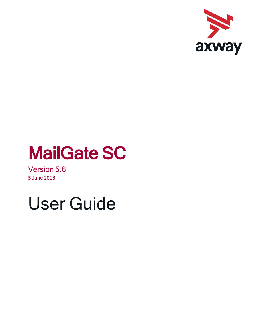

# MailGate SC

Version 5.6 5 June 2018

# User Guide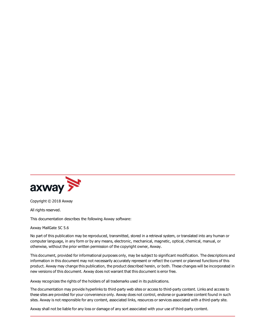

Copyright © 2018 Axway

All rights reserved.

This documentation describes the following Axway software:

Axway MailGate SC 5.6

No part of this publication may be reproduced, transmitted, stored in a retrieval system, or translated into any human or computer language, in any form or by any means, electronic, mechanical, magnetic, optical, chemical, manual, or otherwise, without the prior written permission of the copyright owner, Axway.

This document, provided for informational purposes only, may be subject to significant modification. The descriptions and information in this document may not necessarily accurately represent or reflect the current or planned functions of this product. Axway may change this publication, the product described herein, or both. These changes will be incorporated in new versions of this document. Axway does not warrant that this document is error free.

Axway recognizes the rights of the holders of all trademarks used in its publications.

The documentation may provide hyperlinks to third-party web sites or access to third-party content. Links and access to these sites are provided for your convenience only. Axway does not control, endorse or guarantee content found in such sites. Axway is not responsible for any content, associated links, resources or services associated with a third-party site.

Axway shall not be liable for any loss or damage of any sort associated with your use of third-party content.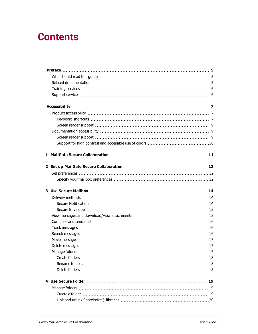# **Contents**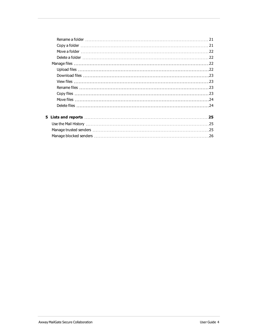|  | 21 |
|--|----|
|  |    |
|  |    |
|  |    |
|  |    |
|  |    |
|  |    |
|  |    |
|  |    |
|  |    |
|  |    |
|  |    |
|  |    |
|  | 25 |
|  | 25 |
|  | 25 |

[Manage blocked senders](#page-25-0) [26](#page-25-0)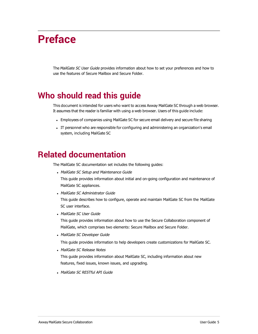# <span id="page-4-0"></span>**Preface**

The MailGate SC User Guide provides information about how to set your preferences and how to use the features of Secure Mailbox and Secure Folder.

# <span id="page-4-1"></span>**Who should read this guide**

This document is intended for users who want to access Axway MailGate SC through a web browser. It assumes that the reader is familiar with using a web browser. Users of this guide include:

- <sup>l</sup> Employees of companies using MailGate SC for secure email delivery and secure file sharing
- <sup>l</sup> IT personnel who are responsible for configuring and administering an organization's email system, including MailGate SC

# <span id="page-4-2"></span>**Related documentation**

The MailGate SC documentation set includes the following guides:

- MailGate SC Setup and Maintenance Guide
	- This guide provides information about initial and on-going configuration and maintenance of MailGate SC appliances.
- MailGate SC Administrator Guide

This guide describes how to configure, operate and maintain MailGate SC from the MailGate SC user interface.

• MailGate SC User Guide

This guide provides information about how to use the Secure Collaboration component of MailGate, which comprises two elements: Secure Mailbox and Secure Folder.

• MailGate SC Developer Guide

This guide provides information to help developers create customizations for MailGate SC.

• MailGate SC Release Notes

This guide provides information about MailGate SC, including information about new features, fixed issues, known issues, and upgrading.

• MailGate SC RESTful API Guide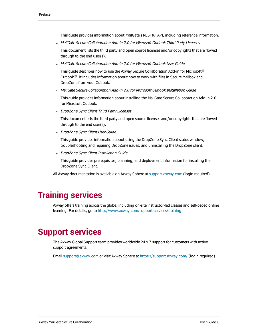This guide provides information about MailGate's RESTful API, including reference information.

• MailGate Secure Collaboration Add-in 2.0 for Microsoft Outlook Third Party Licenses

This document lists the third party and open source licenses and/or copyrights that are flowed through to the end user(s).

• MailGate Secure Collaboration Add-in 2.0 for Microsoft Outlook User Guide

This guide describes how to use the Axway Secure Collaboration Add-in for Microsoft<sup>®</sup> Outlook $<sup>®</sup>$ . It includes information about how to work with files in Secure Mailbox and</sup> DropZone from your Outlook.

• MailGate Secure Collaboration Add-in 2.0 for Microsoft Outlook Installation Guide

This guide provides information about installing the MailGate Secure Collaboration Add-in 2.0 for Microsoft Outlook.

• DropZone Sync Client Third Party Licenses

This document lists the third party and open source licenses and/or copyrights that are flowed through to the end user(s).

• DropZone Sync Client User Guide

This guide provides information about using the DropZone Sync Client status window, troubleshooting and repairing DropZone issues, and uninstalling the DropZone client.

• DropZone Sync Client Installation Guide

This guide provides prerequisites, planning, and deployment information for installing the DropZone Sync Client.

All Axway documentation is available on Axway Sphere at [support.axway.com](https://support.axway.com/) (login required).

# <span id="page-5-0"></span>**Training services**

Axway offers training across the globe, including on-site instructor-led classes and self-paced online learning. For details, go to<http://www.axway.com/support-services/training>.

## <span id="page-5-1"></span>**Support services**

The Axway Global Support team provides worldwide 24 x 7 support for customers with active support agreements.

Email [support@axway.com](mailto:support@axway.com?subject=Interchange 5.12) or visit Axway Sphere at<https://support.axway.com/>(login required).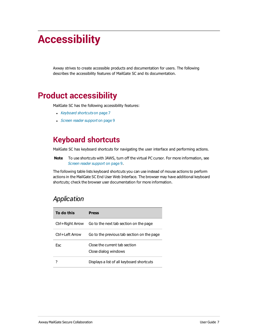# <span id="page-6-0"></span>**Accessibility**

Axway strives to create accessible products and documentation for users. The following describes the accessibility features of MailGate SC and its documentation.

# <span id="page-6-1"></span>**Product accessibility**

MailGate SC has the following accessibility features:

- [Keyboard shortcuts](#page-6-2) on page 7
- <span id="page-6-2"></span>• [Screen reader support](#page-8-0) on page 9

# **Keyboard shortcuts**

MailGate SC has keyboard shortcuts for navigating the user interface and performing actions.

**Note** To use shortcuts with JAWS, turn off the virtual PC cursor. For more information, see [Screen reader support](#page-8-0) on page 9.

The following table lists keyboard shortcuts you can use instead of mouse actions to perform actions in the MailGate SC End User Web Interface. The browser may have additional keyboard shortcuts; check the browser user documentation for more information.

#### *Application*

| To do this       | <b>Press</b>                                          |
|------------------|-------------------------------------------------------|
| Ctrl+Right Arrow | Go to the next tab section on the page                |
| Ctrl+Left Arrow  | Go to the previous tab section on the page            |
| <b>Esc</b>       | Close the current tab section<br>Close dialog windows |
|                  | Displays a list of all keyboard shortcuts             |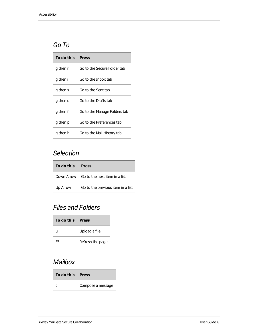#### *Go To*

| To do this | <b>Press</b>                 |
|------------|------------------------------|
| g then r   | Go to the Secure Folder tab  |
| g then i   | Go to the Inbox tab          |
| g then s   | Go to the Sent tab           |
| g then d   | Go to the Drafts tab         |
| g then f   | Go to the Manage Folders tab |
| g then p   | Go to the Preferences tab    |
| g then h   | Go to the Mail History tab   |

#### *Selection*

| To do this | <b>Press</b>                             |
|------------|------------------------------------------|
|            | Down Arrow Go to the next item in a list |
| Up Arrow   | Go to the previous item in a list        |

#### *Files and Folders*

| To do this Press |                  |
|------------------|------------------|
| u                | Upload a file    |
| F5.              | Refresh the page |

## *Mailbox*

| To do this Press |                   |
|------------------|-------------------|
|                  | Compose a message |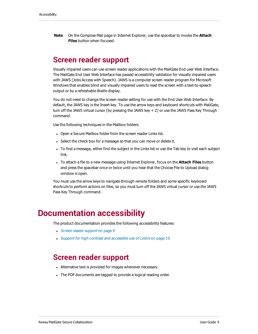<span id="page-8-0"></span>**Note** On the Compose Mail page in Internet Explorer, use the spacebar to invoke the **Attach Files** button when focused.

#### **Screen reader support**

Visually impaired users can use screen reader applications with the MailGate End user Web Interface. The MailGate End User Web Interface has passed accessibility validation for visually impaired users with JAWS (Jobs Access with Speech). JAWS is a computer screen reader program for Microsoft Windows that enables blind and visually impaired users to read the screen with a text-to-speech output or by a refreshable Braille display.

You do not need to change the screen reader setting for use with the End User Web Interface. By default, the JAWS key is the Insert key. To use the arrow keys and keyboard shortcuts with MailGate, turn off the JAWS virtual cursor (by pressing the JAWS key + Z) or use the JAWS Pass Key Through command.

Use the following techniques in the Mailbox folders:

- Open a Secure Mailbox folder from the screen reader Links list.
- Select the check box for a message so that you can move or delete it.
- To find a message, either find the subject in the Links list or use the Tab key to visit each subject link.
- <sup>l</sup> To attach a file to a new message using Internet Explorer, focus on the **Attach Files** button and press the spacebar once or twice until you hear that the Choose File to Upload dialog window is open.

You must use the arrow keys to navigate through remote folders and some specific keyboard shortcuts to perform actions on files, so you must turn off the JAWS virtual cursor or use the JAWS Pass Key Through command.

## <span id="page-8-1"></span>**Documentation accessibility**

The product documentation provides the following accessibility features:

- <span id="page-8-2"></span>• [Screen reader support](#page-8-2) on page 9
- [Support for high contrast and accessible use of colors](#page-9-0) on page 10

#### **Screen reader support**

- Alternative text is provided for images whenever necessary.
- The PDF documents are tagged to provide a logical reading order.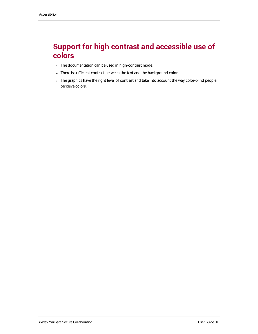# <span id="page-9-0"></span>**Support for high contrast and accessible use of colors**

- The documentation can be used in high-contrast mode.
- There is sufficient contrast between the text and the background color.
- The graphics have the right level of contrast and take into account the way color-blind people perceive colors.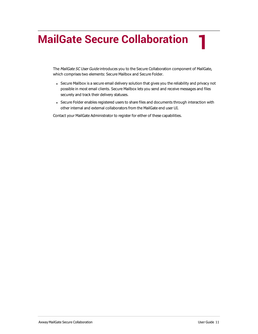# <span id="page-10-0"></span>**MailGate Secure Collaboration**

The MailGate SC User Guide introduces you to the Secure Collaboration component of MailGate, which comprises two elements: Secure Mailbox and Secure Folder.

- Secure Mailbox is a secure email delivery solution that gives you the reliability and privacy not possible in most email clients. Secure Mailbox lets you send and receive messages and files securely and track their delivery statuses.
- Secure Folder enables registered users to share files and documents through interaction with other internal and external collaborators from the MailGate end user UI.

Contact your MailGate Administrator to register for either of these capabilities.

**1**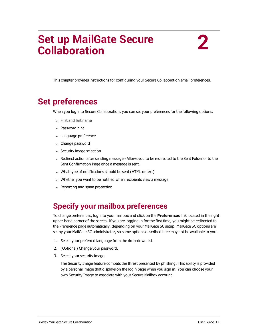# <span id="page-11-0"></span>**Set up MailGate Secure Collaboration**

This chapter provides instructions for configuring your Secure Collaboration email preferences.

# <span id="page-11-1"></span>**Set preferences**

When you log into Secure Collaboration, you can set your preferences for the following options:

- First and last name
- Password hint
- Language preference
- Change password
- Security image selection
- Redirect action after sending message Allows you to be redirected to the Sent Folder or to the Sent Confirmation Page once a message is sent.
- What type of notifications should be sent (HTML or text)
- Whether you want to be notified when recipients view a message
- Reporting and spam protection

# <span id="page-11-2"></span>**Specify your mailbox preferences**

To change preferences, log into your mailbox and click on the **Preferences** link located in the right upper-hand corner of the screen. If you are logging in for the first time, you might be redirected to the Preference page automatically, depending on your MailGate SC setup. MailGate SC options are set by your MailGate SC administrator, so some options described here may not be available to you.

- 1. Select your preferred language from the drop-down list.
- 2. (Optional) Change your password.
- 3. Select your security image.

The Security Image feature combats the threat presented by phishing. This ability is provided by a personal image that displays on the login page when you sign in. You can choose your own Security Image to associate with your Secure Mailbox account.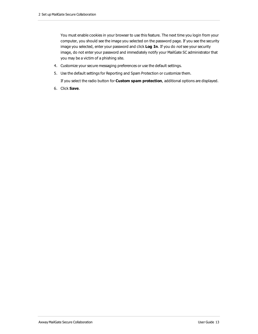You must enable cookies in your browser to use this feature. The next time you login from your computer, you should see the image you selected on the password page. If you see the security image you selected, enter your password and click **Log In**. If you do not see your security image, do not enter your password and immediately notify your MailGate SC administrator that you may be a victim of a phishing site.

- 4. Customize your secure messaging preferences or use the default settings.
- 5. Use the default settings for Reporting and Spam Protection or customize them.

If you select the radio button for **Custom spam protection**, additional options are displayed.

6. Click **Save**.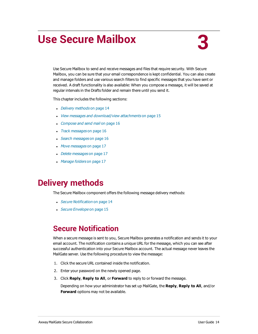# <span id="page-13-0"></span>**Use Secure Mailbox**

Use Secure Mailbox to send and receive messages and files that require security. With Secure Mailbox, you can be sure that your email correspondence is kept confidential. You can also create and manage folders and use various search filters to find specific messages that you have sent or received. A draft functionality is also available: When you compose a message, it will be saved at regular intervals in the Drafts folder and remain there until you send it.

This chapter includes the following sections:

- [Delivery methods](#page-13-1) on page 14
- [View messages and download/view attachments](#page-14-1) on page 15
- [Compose and send mail](#page-15-0) on page 16
- [Track messages](#page-15-1) on page 16
- [Search messages](#page-15-2) on page 16
- [Move messages](#page-16-0) on page 17
- [Delete messages](#page-16-1) on page 17
- [Manage folders](#page-16-2) on page 17

# <span id="page-13-1"></span>**Delivery methods**

The Secure Mailbox component offers the following message delivery methods:

- **[Secure Notification](#page-13-2) on page 14**
- [Secure Envelope](#page-14-0) on page 15

## <span id="page-13-2"></span>**Secure Notification**

When a secure message is sent to you, Secure Mailbox generates a notification and sends it to your email account. The notification contains a unique URL for the message, which you can see after successful authentication into your Secure Mailbox account. The actual message never leaves the MailGate server. Use the following procedure to view the message:

- 1. Click the secure URL contained inside the notification.
- 2. Enter your password on the newly opened page.
- 3. Click **Reply**, **Reply to All**, or **Forward** to reply to or forward the message.

Depending on how your administrator has set up MailGate, the **Reply**, **Reply to All**, and/or **Forward** options may not be available.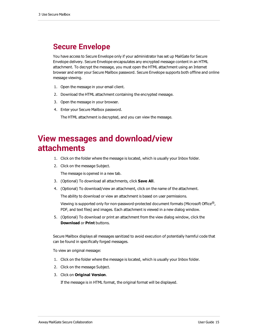## <span id="page-14-0"></span>**Secure Envelope**

You have access to Secure Envelope only if your administrator has set up MailGate for Secure Envelope delivery. Secure Envelope encapsulates any encrypted message content in an HTML attachment. To decrypt the message, you must open the HTML attachment using an Internet browser and enter your Secure Mailbox password. Secure Envelope supports both offline and online message viewing.

- 1. Open the message in your email client.
- 2. Download the HTML attachment containing the encrypted message.
- 3. Open the message in your browser.
- 4. Enter your Secure Mailbox password.

The HTML attachment is decrypted, and you can view the message.

# <span id="page-14-1"></span>**View messages and download/view attachments**

- 1. Click on the folder where the message is located, which is usually your Inbox folder.
- 2. Click on the message Subject.

The message is opened in a new tab.

- 3. (Optional) To download all attachments, click **Save All**.
- 4. (Optional) To download/view an attachment, click on the name of the attachment.

The ability to download or view an attachment is based on user permissions.

Viewing is supported only for non-password-protected document formats (Microsoft Office<sup>®</sup>, PDF, and text files) and images. Each attachment is viewed in a new dialog window.

5. (Optional) To download or print an attachment from the view dialog window, click the **Download** or **Print** buttons.

Secure Mailbox displays all messages sanitized to avoid execution of potentially harmful code that can be found in specifically forged messages.

To view an original message:

- 1. Click on the folder where the message is located, which is usually your Inbox folder.
- 2. Click on the message Subject.
- 3. Click on **Original Version**.

If the message is in HTML format, the original format will be displayed.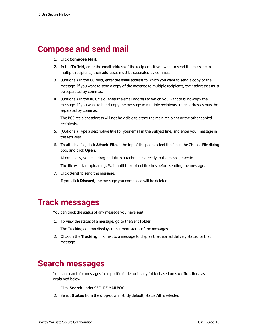# <span id="page-15-0"></span>**Compose and send mail**

- 1. Click **Compose Mail**.
- 2. In the **To** field, enter the email address of the recipient. If you want to send the message to multiple recipients, their addresses must be separated by commas.
- 3. (Optional) In the **CC** field, enter the email address to which you want to send a copy of the message. If you want to send a copy of the message to multiple recipients, their addresses must be separated by commas.
- 4. (Optional) In the **BCC** field, enter the email address to which you want to blind-copy the message. If you want to blind-copy the message to multiple recipients, their addresses must be separated by commas.

The BCC recipient address will not be visible to either the main recipient or the other copied recipients.

- 5. (Optional) Type a descriptive title for your email in the Subject line, and enter your message in the text area.
- 6. To attach a file, click **Attach File** at the top of the page, select the file in the Choose File dialog box, and click **Open**.

Alternatively, you can drag-and-drop attachments directly to the message section.

The file will start uploading. Wait until the upload finishes before sending the message.

7. Click **Send** to send the message.

If you click **Discard**, the message you composed will be deleted.

## <span id="page-15-1"></span>**Track messages**

You can track the status of any message you have sent.

1. To view the status of a message, go to the Sent Folder.

The Tracking column displays the current status of the messages.

2. Click on the **Tracking** link next to a message to display the detailed delivery status for that message.

# <span id="page-15-2"></span>**Search messages**

You can search for messages in a specific folder or in any folder based on specific criteria as explained below:

- 1. Click **Search** under SECURE MAILBOX.
- 2. Select **Status** from the drop-down list. By default, status **All** is selected.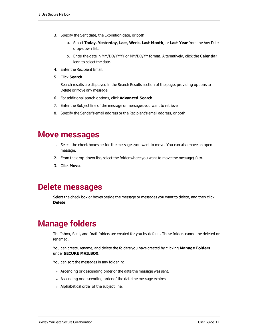- 3. Specify the Sent date, the Expiration date, or both:
	- a. Select **Today**, **Yesterday**, **Last**, **Week**, **Last Month**, or **Last Year** from the Any Date drop-down list.
	- b. Enter the date in MM/DD/YYYY or MM/DD/YY format. Alternatively, click the **Calendar** icon to select the date.
- 4. Enter the Recipient Email.
- 5. Click **Search**.

Search results are displayed in the Search Results section of the page, providing options to Delete or Move any message.

- 6. For additional search options, click **Advanced Search**.
- 7. Enter the Subject line of the message or messages you want to retrieve.
- 8. Specify the Sender's email address or the Recipient's email address, or both.

#### <span id="page-16-0"></span>**Move messages**

- 1. Select the check boxes beside the messages you want to move. You can also move an open message.
- 2. From the drop-down list, select the folder where you want to move the message(s) to.
- 3. Click **Move**.

#### <span id="page-16-1"></span>**Delete messages**

Select the check box or boxes beside the message or messages you want to delete, and then click **Delete**.

# <span id="page-16-2"></span>**Manage folders**

The Inbox, Sent, and Draft folders are created for you by default. These folders cannot be deleted or renamed.

You can create, rename, and delete the folders you have created by clicking **Manage Folders** under **SECURE MAILBOX**.

You can sort the messages in any folder in:

- Ascending or descending order of the date the message was sent.
- Ascending or descending order of the date the message expires.
- Alphabetical order of the subject line.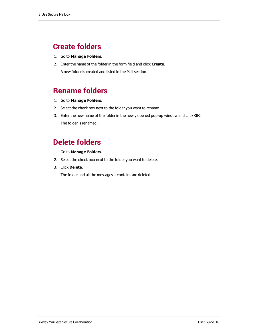# <span id="page-17-0"></span>**Create folders**

- 1. Go to **Manage Folders**.
- 2. Enter the name of the folder in the form field and click **Create**.

A new folder is created and listed in the Mail section.

# <span id="page-17-1"></span>**Rename folders**

- 1. Go to **Manage Folders**.
- 2. Select the check box next to the folder you want to rename.
- 3. Enter the new name of the folder in the newly opened pop-up window and click **OK**. The folder is renamed.

# <span id="page-17-2"></span>**Delete folders**

- 1. Go to **Manage Folders**.
- 2. Select the check box next to the folder you want to delete.
- 3. Click **Delete**.

The folder and all the messages it contains are deleted.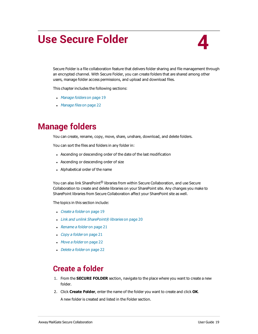# <span id="page-18-0"></span>**Use Secure Folder**

Secure Folder is a file collaboration feature that delivers folder sharing and file management through an encrypted channel. With Secure Folder, you can create folders that are shared among other users, manage folder access permissions, and upload and download files.

This chapter includes the following sections:

- [Manage folders](#page-18-1) on page 19
- [Manage files](#page-21-2) on page 22

# <span id="page-18-1"></span>**Manage folders**

You can create, rename, copy, move, share, unshare, download, and delete folders.

You can sort the files and folders in any folder in:

- Ascending or descending order of the date of the last modification
- Ascending or descending order of size
- Alphabetical order of the name

You can also link SharePoint® libraries from within Secure Collaboration, and use Secure Collaboration to create and delete libraries on your SharePoint site. Any changes you make to SharePoint libraries from Secure Collaboration affect your SharePoint site as well.

The topics in this section include:

- Create a folder [on page 19](#page-18-2)
- [Link and unlink SharePoint® libraries](#page-19-0) on page 20
- $\cdot$  [Rename a folder](#page-20-0) on page 21
- $\log$  [Copy a folder](#page-20-1) on page 21
- $Movea folderon page 22$
- <span id="page-18-2"></span>• Delete a folder [on page 22](#page-21-1)

#### **Create a folder**

- 1. From the **SECURE FOLDER** section, navigate to the place where you want to create a new folder.
- 2. Click **Create Folder**, enter the name of the folder you want to create and click **OK**.

A new folder is created and listed in the Folder section.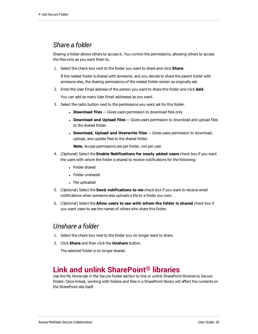#### *Share a folder*

Sharing a folder allows others to access it. You control the permissions, allowing others to access the files only as you want them to.

1. Select the check box next to the folder you want to share and click **Share**.

If the nested folder is shared with someone, and you decide to share the parent folder with someone else, the sharing permissions of the nested folder remain as originally set.

2. Enter the User Email address of the person you want to share this folder and click **Add**.

You can add as many User Email addresses as you want.

- 3. Select the radio button next to the permissions you want set for this folder.
	- **Download files** Gives users permission to download files only
	- <sup>l</sup> **Download and Upload files** Gives users permission to download and upload files to the shared folder.
	- **.** Download, Upload and Overwrite files Gives users permission to download, upload, and update files to the shared folder.

**Note**: Access permissions are per folder, not per user.

- 4. (Optional) Select the **Enable Notifications for newly added users** check box if you want the users with whom the folder is shared to receive notifications for the following:
	- Folder shared
	- Folder unshared
	- File uploaded
- 5. (Optional) Select the **Send notifications to me** check box if you want to receive email notifications when someone else uploads a file to a folder you own.
- 6. (Optional) Select the **Allow users to see with whom the folder is shared** check box if you want users to see the names of others who share this folder.

#### *Unshare a folder*

- 1. Select the check box next to the folder you no longer want to share.
- 2. Click **Share** and then click the **Unshare** button.

The selected folder is no longer shared.

#### <span id="page-19-0"></span>**Link and unlink SharePoint® libraries**

Use the My Home tab in the Secure Folder section to link or unlink SharePoint libraries to Secure Folder. Once linked, working with folders and files in a SharePoint library will affect the contents on the SharePoint site itself.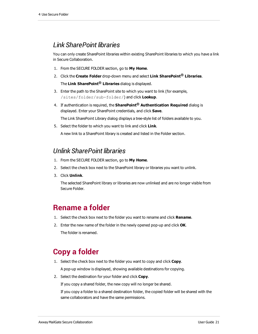#### *Link SharePoint libraries*

You can only create SharePoint libraries within existing SharePoint libraries to which you have a link in Secure Collaboration.

- 1. From the SECURE FOLDER section, go to **My Home**.
- 2. Click the **Create Folder** drop-down menu and select **Link SharePoint® Libraries**. The **Link SharePoint® Libraries** dialog is displayed.
- 3. Enter the path to the SharePoint site to which you want to link (for example, /sites/folder/sub-folder/) and click **Lookup**.
- 4. If authentication is required, the **SharePoint® Authentication Required** dialog is displayed. Enter your SharePoint credentials, and click **Save**.

The Link SharePoint Library dialog displays a tree-style list of folders available to you.

5. Select the folder to which you want to link and click **Link**.

A new link to a SharePoint library is created and listed in the Folder section.

#### *Unlink SharePoint libraries*

- 1. From the SECURE FOLDER section, go to **My Home**.
- 2. Select the check box next to the SharePoint library or libraries you want to unlink.
- 3. Click **Unlink**.

The selected SharePoint library or libraries are now unlinked and are no longer visible from Secure Folder.

## <span id="page-20-0"></span>**Rename a folder**

- 1. Select the check box next to the folder you want to rename and click **Rename**.
- 2. Enter the new name of the folder in the newly opened pop-up and click **OK**. The folder is renamed.

## <span id="page-20-1"></span>**Copy a folder**

1. Select the check box next to the folder you want to copy and click **Copy**.

A pop-up window is displayed, showing available destinations for copying.

2. Select the destination for your folder and click **Copy**.

If you copy a shared folder, the new copy will no longer be shared.

If you copy a folder to a shared destination folder, the copied folder will be shared with the same collaborators and have the same permissions.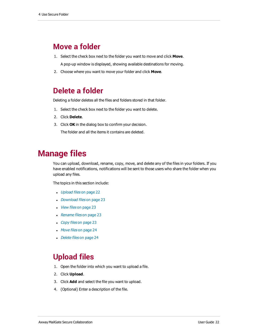#### <span id="page-21-0"></span>**Move a folder**

- 1. Select the check box next to the folder you want to move and click **Move**. A pop-up window is displayed, showing available destinations for moving.
- <span id="page-21-1"></span>2. Choose where you want to move your folder and click **Move**.

#### **Delete a folder**

Deleting a folder deletes all the files and folders stored in that folder.

- 1. Select the check box next to the folder you want to delete.
- 2. Click **Delete**.
- 3. Click **OK** in the dialog box to confirm your decision.

The folder and all the items it contains are deleted.

# <span id="page-21-2"></span>**Manage files**

You can upload, download, rename, copy, move, and delete any of the files in your folders. If you have enabled notifications, notifications will be sent to those users who share the folder when you upload any files.

The topics in this section include:

- Upload files [on page 22](#page-21-3)
- Download files [on page 23](#page-22-0)
- View files [on page 23](#page-22-1)
- Rename files [on page 23](#page-22-2)
- Copy files [on page 23](#page-22-3)
- $Move$  files [on page 24](#page-23-0)
- <span id="page-21-3"></span>• Delete files [on page 24](#page-23-1)

## **Upload files**

- 1. Open the folder into which you want to upload a file.
- 2. Click **Upload**.
- 3. Click **Add** and select the file you want to upload.
- 4. (Optional) Enter a description of the file.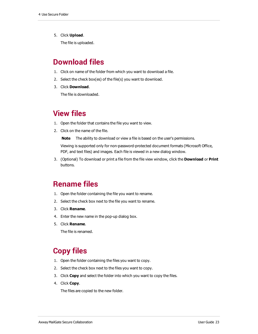5. Click **Upload**.

The file is uploaded.

## <span id="page-22-0"></span>**Download files**

- 1. Click on name of the folder from which you want to download a file.
- 2. Select the check box(es) of the file(s) you want to download.
- 3. Click **Download**.

The file is downloaded.

#### <span id="page-22-1"></span>**View files**

- 1. Open the folder that contains the file you want to view.
- 2. Click on the name of the file.
	- **Note** The ability to download or view a file is based on the user's permissions.

Viewing is supported only for non-password-protected document formats (Microsoft Office, PDF, and text files) and images. Each file is viewed in a new dialog window.

3. (Optional) To download or print a file from the file view window, click the **Download** or **Print** buttons.

#### <span id="page-22-2"></span>**Rename files**

- 1. Open the folder containing the file you want to rename.
- 2. Select the check box next to the file you want to rename.
- 3. Click **Rename**.
- 4. Enter the new name in the pop-up dialog box.
- 5. Click **Rename**.

The file is renamed.

## <span id="page-22-3"></span>**Copy files**

- 1. Open the folder containing the files you want to copy.
- 2. Select the check box next to the files you want to copy.
- 3. Click **Copy** and select the folder into which you want to copy the files.
- 4. Click **Copy**.

The files are copied to the new folder.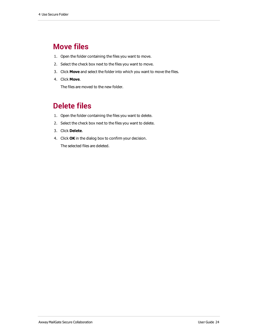#### <span id="page-23-0"></span>**Move files**

- 1. Open the folder containing the files you want to move.
- 2. Select the check box next to the files you want to move.
- 3. Click **Move** and select the folder into which you want to move the files.
- 4. Click **Move**.

The files are moved to the new folder.

## <span id="page-23-1"></span>**Delete files**

- 1. Open the folder containing the files you want to delete.
- 2. Select the check box next to the files you want to delete.
- 3. Click **Delete**.
- 4. Click **OK** in the dialog box to confirm your decision. The selected files are deleted.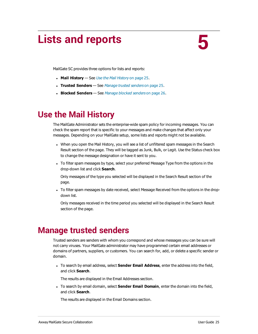# <span id="page-24-0"></span>**Lists and reports**

**5**

MailGate SC provides three options for lists and reports:

- **Mail History** See [Use the Mail History](#page-24-1) on page 25.
- **Trusted Senders** See [Manage trusted senders](#page-24-2) on page 25.
- **Blocked Senders** See [Manage blocked senders](#page-25-0) on page 26.

# <span id="page-24-1"></span>**Use the Mail History**

The MailGate Administrator sets the enterprise-wide spam policy for incoming messages. You can check the spam report that is specific to your messages and make changes that affect only your messages. Depending on your MailGate setup, some lists and reports might not be available.

- When you open the Mail History, you will see a list of unfiltered spam messages in the Search Result section of the page. They will be tagged as Junk, Bulk, or Legit. Use the Status check box to change the message designation or have it sent to you.
- To filter spam messages by type, select your preferred Message Type from the options in the drop-down list and click **Search**.

Only messages of the type you selected will be displayed in the Search Result section of the page.

• To filter spam messages by date received, select Message Received from the options in the dropdown list.

Only messages received in the time period you selected will be displayed in the Search Result section of the page.

# <span id="page-24-2"></span>**Manage trusted senders**

Trusted senders are senders with whom you correspond and whose messages you can be sure will not carry viruses. Your MailGate administrator may have programmed certain email addresses or domains of partners, suppliers, or customers. You can search for, add, or delete a specific sender or domain.

<sup>l</sup> To search by email address, select **Sender Email Address**, enter the address into the field, and click **Search**.

The results are displayed in the Email Addresses section.

**To search by email domain, select Sender Email Domain, enter the domain into the field,** and click **Search**.

The results are displayed in the Email Domains section.